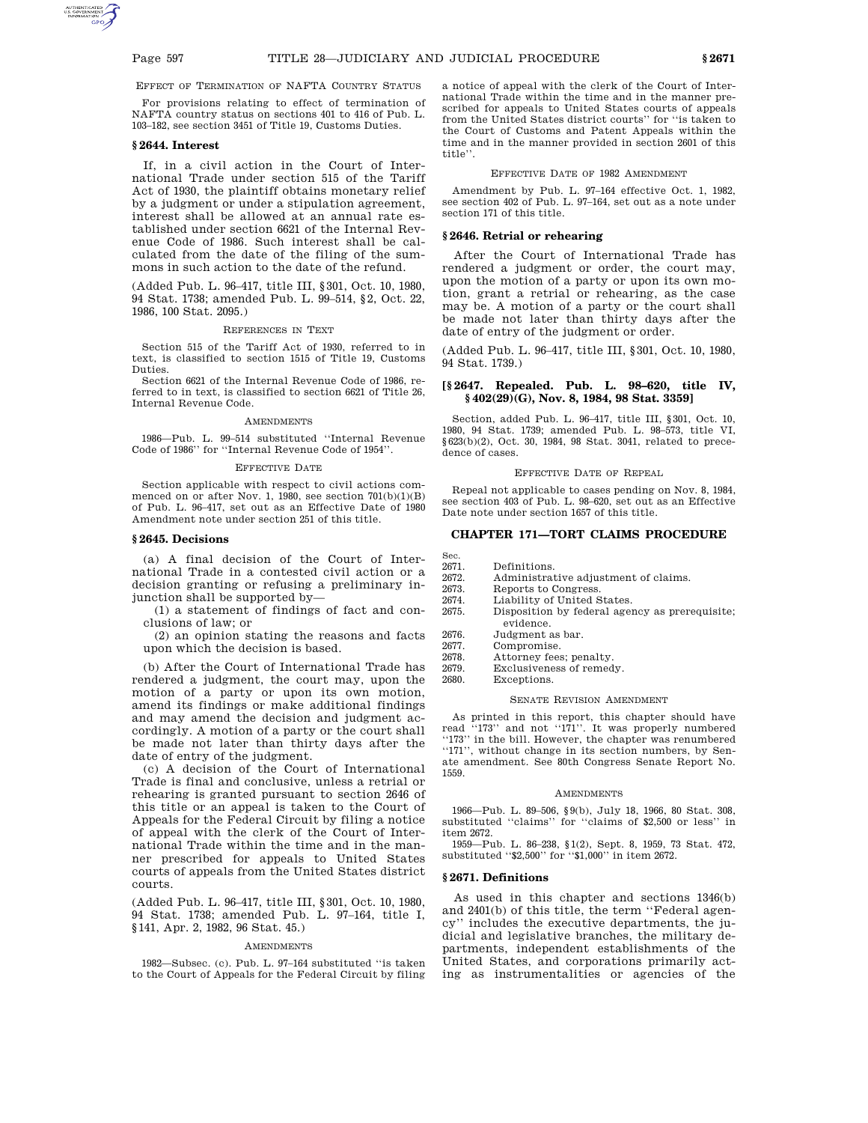EFFECT OF TERMINATION OF NAFTA COUNTRY STATUS

For provisions relating to effect of termination of NAFTA country status on sections 401 to 416 of Pub. L. 103–182, see section 3451 of Title 19, Customs Duties.

# **§ 2644. Interest**

If, in a civil action in the Court of International Trade under section 515 of the Tariff Act of 1930, the plaintiff obtains monetary relief by a judgment or under a stipulation agreement, interest shall be allowed at an annual rate established under section 6621 of the Internal Revenue Code of 1986. Such interest shall be calculated from the date of the filing of the summons in such action to the date of the refund.

(Added Pub. L. 96–417, title III, §301, Oct. 10, 1980, 94 Stat. 1738; amended Pub. L. 99–514, §2, Oct. 22, 1986, 100 Stat. 2095.)

#### REFERENCES IN TEXT

Section 515 of the Tariff Act of 1930, referred to in text, is classified to section 1515 of Title 19, Customs Duties.

Section 6621 of the Internal Revenue Code of 1986, referred to in text, is classified to section 6621 of Title 26, Internal Revenue Code.

## **AMENDMENTS**

1986—Pub. L. 99–514 substituted ''Internal Revenue Code of 1986'' for ''Internal Revenue Code of 1954''.

## EFFECTIVE DATE

Section applicable with respect to civil actions commenced on or after Nov. 1, 1980, see section 701(b)(1)(B) of Pub. L. 96–417, set out as an Effective Date of 1980 Amendment note under section 251 of this title.

# **§ 2645. Decisions**

(a) A final decision of the Court of International Trade in a contested civil action or a decision granting or refusing a preliminary injunction shall be supported by—

(1) a statement of findings of fact and conclusions of law; or

(2) an opinion stating the reasons and facts upon which the decision is based.

(b) After the Court of International Trade has rendered a judgment, the court may, upon the motion of a party or upon its own motion, amend its findings or make additional findings and may amend the decision and judgment accordingly. A motion of a party or the court shall be made not later than thirty days after the date of entry of the judgment.

(c) A decision of the Court of International Trade is final and conclusive, unless a retrial or rehearing is granted pursuant to section 2646 of this title or an appeal is taken to the Court of Appeals for the Federal Circuit by filing a notice of appeal with the clerk of the Court of International Trade within the time and in the manner prescribed for appeals to United States courts of appeals from the United States district courts.

(Added Pub. L. 96–417, title III, §301, Oct. 10, 1980, 94 Stat. 1738; amended Pub. L. 97–164, title I, §141, Apr. 2, 1982, 96 Stat. 45.)

## AMENDMENTS

1982—Subsec. (c). Pub. L. 97–164 substituted ''is taken to the Court of Appeals for the Federal Circuit by filing a notice of appeal with the clerk of the Court of International Trade within the time and in the manner prescribed for appeals to United States courts of appeals from the United States district courts'' for ''is taken to the Court of Customs and Patent Appeals within the time and in the manner provided in section 2601 of this title''.

#### EFFECTIVE DATE OF 1982 AMENDMENT

Amendment by Pub. L. 97–164 effective Oct. 1, 1982, see section 402 of Pub. L. 97–164, set out as a note under section 171 of this title.

# **§ 2646. Retrial or rehearing**

After the Court of International Trade has rendered a judgment or order, the court may, upon the motion of a party or upon its own motion, grant a retrial or rehearing, as the case may be. A motion of a party or the court shall be made not later than thirty days after the date of entry of the judgment or order.

(Added Pub. L. 96–417, title III, §301, Oct. 10, 1980, 94 Stat. 1739.)

# **[§ 2647. Repealed. Pub. L. 98–620, title IV, § 402(29)(G), Nov. 8, 1984, 98 Stat. 3359]**

Section, added Pub. L. 96–417, title III, §301, Oct. 10, 1980, 94 Stat. 1739; amended Pub. L. 98–573, title VI, §623(b)(2), Oct. 30, 1984, 98 Stat. 3041, related to precedence of cases.

## EFFECTIVE DATE OF REPEAL

Repeal not applicable to cases pending on Nov. 8, 1984, see section 403 of Pub. L. 98–620, set out as an Effective Date note under section 1657 of this title.

# **CHAPTER 171—TORT CLAIMS PROCEDURE**

2671. Definitions.

Sec.

- 2672. Administrative adjustment of claims.<br>2673. Reports to Congress.
- 2673. Reports to Congress.<br>2674. Liability of United S
- Liability of United States.
- 2675. Disposition by federal agency as prerequisite; evidence.
- 2676. Judgment as bar.
- 2677. Compromise.
- 2678. Attorney fees; penalty.<br>2679. Exclusiveness of remed
- Exclusiveness of remedy.
- 2680. Exceptions.

# SENATE REVISION AMENDMENT

As printed in this report, this chapter should have read ''173'' and not ''171''. It was properly numbered "173" in the bill. However, the chapter was renumbered ''171'', without change in its section numbers, by Senate amendment. See 80th Congress Senate Report No. 1559.

# AMENDMENTS

1966—Pub. L. 89–506, §9(b), July 18, 1966, 80 Stat. 308, substituted ''claims'' for ''claims of \$2,500 or less'' in item 2672.

1959—Pub. L. 86–238, §1(2), Sept. 8, 1959, 73 Stat. 472, substituted ''\$2,500'' for ''\$1,000'' in item 2672.

## **§ 2671. Definitions**

As used in this chapter and sections 1346(b) and 2401(b) of this title, the term ''Federal agency'' includes the executive departments, the judicial and legislative branches, the military departments, independent establishments of the United States, and corporations primarily acting as instrumentalities or agencies of the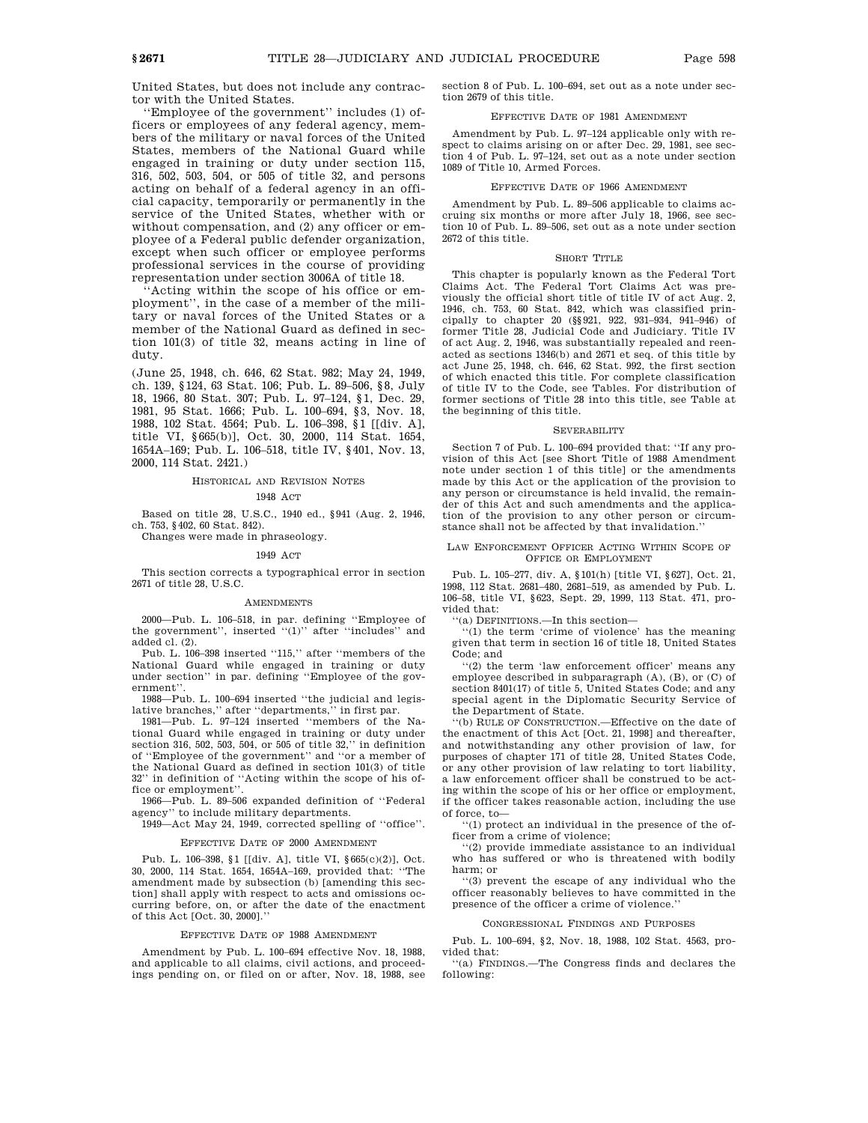United States, but does not include any contractor with the United States.

'Employee of the government' includes (1) officers or employees of any federal agency, members of the military or naval forces of the United States, members of the National Guard while engaged in training or duty under section 115, 316, 502, 503, 504, or 505 of title 32, and persons acting on behalf of a federal agency in an official capacity, temporarily or permanently in the service of the United States, whether with or without compensation, and (2) any officer or employee of a Federal public defender organization, except when such officer or employee performs professional services in the course of providing representation under section 3006A of title 18.

''Acting within the scope of his office or employment'', in the case of a member of the military or naval forces of the United States or a member of the National Guard as defined in section 101(3) of title 32, means acting in line of duty.

(June 25, 1948, ch. 646, 62 Stat. 982; May 24, 1949, ch. 139, §124, 63 Stat. 106; Pub. L. 89–506, §8, July 18, 1966, 80 Stat. 307; Pub. L. 97–124, §1, Dec. 29, 1981, 95 Stat. 1666; Pub. L. 100–694, §3, Nov. 18, 1988, 102 Stat. 4564; Pub. L. 106–398, §1 [[div. A], title VI, §665(b)], Oct. 30, 2000, 114 Stat. 1654, 1654A–169; Pub. L. 106–518, title IV, §401, Nov. 13, 2000, 114 Stat. 2421.)

#### HISTORICAL AND REVISION NOTES

#### 1948 ACT

Based on title 28, U.S.C., 1940 ed., §941 (Aug. 2, 1946, ch. 753, §402, 60 Stat. 842).

Changes were made in phraseology.

# 1949 ACT

This section corrects a typographical error in section 2671 of title 28, U.S.C.

#### **AMENDMENTS**

2000—Pub. L. 106–518, in par. defining ''Employee of the government", inserted "(1)" after "includes" and added cl. (2).

Pub. L. 106-398 inserted "115," after "members of the National Guard while engaged in training or duty under section'' in par. defining ''Employee of the government''.

1988—Pub. L. 100–694 inserted ''the judicial and legislative branches,'' after ''departments,'' in first par.

1981—Pub. L. 97–124 inserted ''members of the National Guard while engaged in training or duty under section 316, 502, 503, 504, or 505 of title 32,'' in definition of ''Employee of the government'' and ''or a member of the National Guard as defined in section 101(3) of title 32'' in definition of ''Acting within the scope of his office or employment''.

1966—Pub. L. 89–506 expanded definition of ''Federal agency'' to include military departments.

1949—Act May 24, 1949, corrected spelling of ''office''.

# EFFECTIVE DATE OF 2000 AMENDMENT

Pub. L. 106–398, §1 [[div. A], title VI, §665(c)(2)], Oct. 30, 2000, 114 Stat. 1654, 1654A–169, provided that: ''The amendment made by subsection (b) [amending this section] shall apply with respect to acts and omissions occurring before, on, or after the date of the enactment of this Act [Oct. 30, 2000].''

## EFFECTIVE DATE OF 1988 AMENDMENT

Amendment by Pub. L. 100–694 effective Nov. 18, 1988, and applicable to all claims, civil actions, and proceedings pending on, or filed on or after, Nov. 18, 1988, see section 8 of Pub. L. 100–694, set out as a note under section 2679 of this title.

# EFFECTIVE DATE OF 1981 AMENDMENT

Amendment by Pub. L. 97–124 applicable only with respect to claims arising on or after Dec. 29, 1981, see section 4 of Pub. L. 97–124, set out as a note under section 1089 of Title 10, Armed Forces.

## EFFECTIVE DATE OF 1966 AMENDMENT

Amendment by Pub. L. 89–506 applicable to claims accruing six months or more after July 18, 1966, see section 10 of Pub. L. 89–506, set out as a note under section 2672 of this title.

## SHORT TITLE

This chapter is popularly known as the Federal Tort Claims Act. The Federal Tort Claims Act was previously the official short title of title IV of act Aug. 2, 1946, ch. 753, 60 Stat. 842, which was classified principally to chapter 20 (§§921, 922, 931–934, 941–946) of former Title 28, Judicial Code and Judiciary. Title IV of act Aug. 2, 1946, was substantially repealed and reenacted as sections 1346(b) and 2671 et seq. of this title by act June 25, 1948, ch. 646, 62 Stat. 992, the first section of which enacted this title. For complete classification of title IV to the Code, see Tables. For distribution of former sections of Title 28 into this title, see Table at the beginning of this title.

## **SEVERABILITY**

Section 7 of Pub. L. 100–694 provided that: ''If any provision of this Act [see Short Title of 1988 Amendment note under section 1 of this title] or the amendments made by this Act or the application of the provision to any person or circumstance is held invalid, the remainder of this Act and such amendments and the application of the provision to any other person or circumstance shall not be affected by that invalidation.''

## LAW ENFORCEMENT OFFICER ACTING WITHIN SCOPE OF OFFICE OR EMPLOYMENT

Pub. L. 105–277, div. A, §101(h) [title VI, §627], Oct. 21, 1998, 112 Stat. 2681–480, 2681–519, as amended by Pub. L. 106–58, title VI, §623, Sept. 29, 1999, 113 Stat. 471, provided that:

''(a) DEFINITIONS.—In this section—

 $(1)$  the term 'crime of violence' has the meaning given that term in section 16 of title 18, United States Code; and

''(2) the term 'law enforcement officer' means any employee described in subparagraph (A), (B), or (C) of section 8401(17) of title 5, United States Code; and any special agent in the Diplomatic Security Service of the Department of State.

''(b) RULE OF CONSTRUCTION.—Effective on the date of the enactment of this Act [Oct. 21, 1998] and thereafter, and notwithstanding any other provision of law, for purposes of chapter 171 of title 28, United States Code, or any other provision of law relating to tort liability, a law enforcement officer shall be construed to be acting within the scope of his or her office or employment, if the officer takes reasonable action, including the use of force, to—

''(1) protect an individual in the presence of the officer from a crime of violence;

''(2) provide immediate assistance to an individual who has suffered or who is threatened with bodily harm; or

''(3) prevent the escape of any individual who the officer reasonably believes to have committed in the presence of the officer a crime of violence.

#### CONGRESSIONAL FINDINGS AND PURPOSES

Pub. L. 100–694, §2, Nov. 18, 1988, 102 Stat. 4563, provided that:

''(a) FINDINGS.—The Congress finds and declares the following: